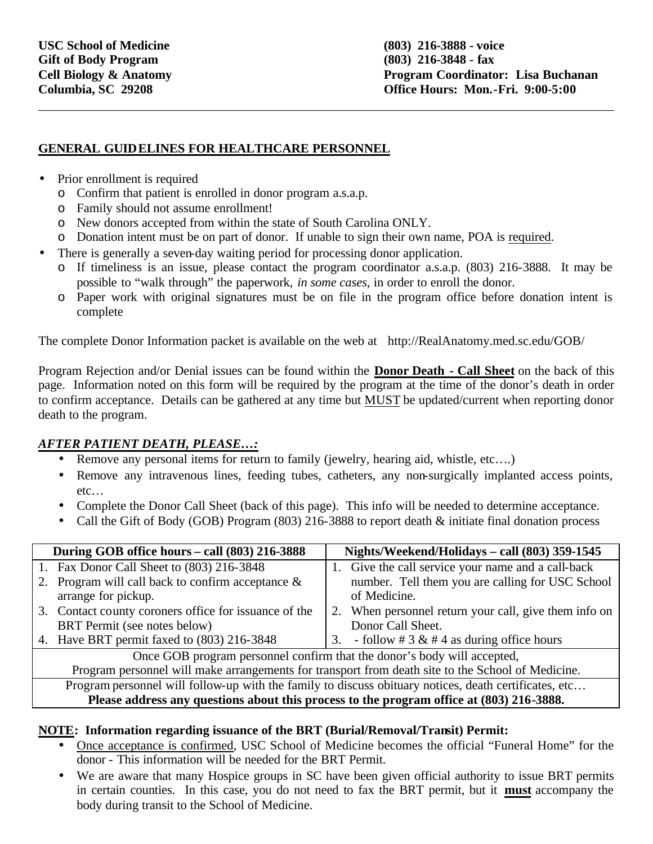## **GENERAL GUIDELINES FOR HEALTHCARE PERSONNEL**

- Prior enrollment is required
	- o Confirm that patient is enrolled in donor program a.s.a.p.
	- o Family should not assume enrollment!
	- o New donors accepted from within the state of South Carolina ONLY.
	- o Donation intent must be on part of donor. If unable to sign their own name, POA is required.
- There is generally a seven-day waiting period for processing donor application.
	- o If timeliness is an issue, please contact the program coordinator a.s.a.p. (803) 216-3888. It may be possible to "walk through" the paperwork, *in some cases*, in order to enroll the donor.
	- o Paper work with original signatures must be on file in the program office before donation intent is complete

The complete Donor Information packet is available on the web at http://RealAnatomy.med.sc.edu/GOB/

Program Rejection and/or Denial issues can be found within the **Donor Death - Call Sheet** on the back of this page. Information noted on this form will be required by the program at the time of the donor's death in order to confirm acceptance. Details can be gathered at any time but MUST be updated/current when reporting donor death to the program.

## *AFTER PATIENT DEATH, PLEASE…:*

- Remove any personal items for return to family (jewelry, hearing aid, whistle, etc....)
- Remove any intravenous lines, feeding tubes, catheters, any non-surgically implanted access points, etc…
- Complete the Donor Call Sheet (back of this page). This info will be needed to determine acceptance.
- Call the Gift of Body (GOB) Program (803) 216-3888 to report death & initiate final donation process

| During GOB office hours – call (803) 216-3888                                                         |                                                      | Nights/Weekend/Holidays - call (803) 359-1545 |                                                    |  |
|-------------------------------------------------------------------------------------------------------|------------------------------------------------------|-----------------------------------------------|----------------------------------------------------|--|
|                                                                                                       | 1. Fax Donor Call Sheet to (803) 216-3848            |                                               | 1. Give the call service your name and a call-back |  |
|                                                                                                       | 2. Program will call back to confirm acceptance $\&$ |                                               | number. Tell them you are calling for USC School   |  |
|                                                                                                       | arrange for pickup.                                  |                                               | of Medicine.                                       |  |
| 3.                                                                                                    | Contact county coroners office for issuance of the   |                                               | When personnel return your call, give them info on |  |
|                                                                                                       | BRT Permit (see notes below)                         |                                               | Donor Call Sheet.                                  |  |
|                                                                                                       | 4. Have BRT permit faxed to (803) 216-3848           |                                               | 3. - follow # $3 \& # 4$ as during office hours    |  |
| Once GOB program personnel confirm that the donor's body will accepted,                               |                                                      |                                               |                                                    |  |
| Program personnel will make arrangements for transport from death site to the School of Medicine.     |                                                      |                                               |                                                    |  |
| Program personnel will follow-up with the family to discuss obituary notices, death certificates, etc |                                                      |                                               |                                                    |  |
| Please address any questions about this process to the program office at (803) 216-3888.              |                                                      |                                               |                                                    |  |
|                                                                                                       |                                                      |                                               |                                                    |  |

## **NOTE: Information regarding issuance of the BRT (Burial/Removal/Transit) Permit:**

- Once acceptance is confirmed, USC School of Medicine becomes the official "Funeral Home" for the donor - This information will be needed for the BRT Permit.
- We are aware that many Hospice groups in SC have been given official authority to issue BRT permits in certain counties. In this case, you do not need to fax the BRT permit, but it **must** accompany the body during transit to the School of Medicine.